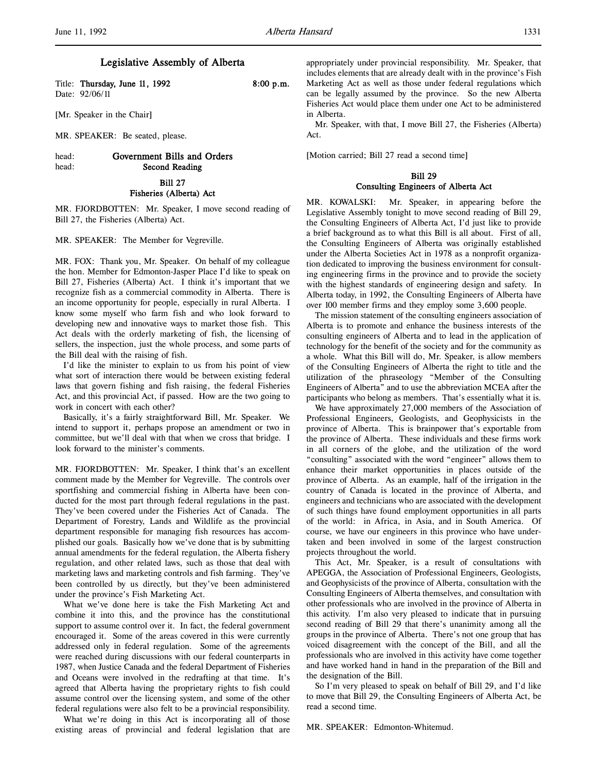l,

# Legislative Assembly of Alberta

Title: Thursday, June 11, 1992 8:00 p.m. Date: 92/06/11

[Mr. Speaker in the Chair]

MR. SPEAKER: Be seated, please.

# head: Government Bills and Orders head: Second Reading

Bill 27 Fisheries (Alberta) Act

MR. FJORDBOTTEN: Mr. Speaker, I move second reading of Bill 27, the Fisheries (Alberta) Act.

MR. SPEAKER: The Member for Vegreville.

MR. FOX: Thank you, Mr. Speaker. On behalf of my colleague the hon. Member for Edmonton-Jasper Place I'd like to speak on Bill 27, Fisheries (Alberta) Act. I think it's important that we recognize fish as a commercial commodity in Alberta. There is an income opportunity for people, especially in rural Alberta. I know some myself who farm fish and who look forward to developing new and innovative ways to market those fish. This Act deals with the orderly marketing of fish, the licensing of sellers, the inspection, just the whole process, and some parts of the Bill deal with the raising of fish.

I'd like the minister to explain to us from his point of view what sort of interaction there would be between existing federal laws that govern fishing and fish raising, the federal Fisheries Act, and this provincial Act, if passed. How are the two going to work in concert with each other?

Basically, it's a fairly straightforward Bill, Mr. Speaker. We intend to support it, perhaps propose an amendment or two in committee, but we'll deal with that when we cross that bridge. I look forward to the minister's comments.

MR. FJORDBOTTEN: Mr. Speaker, I think that's an excellent comment made by the Member for Vegreville. The controls over sportfishing and commercial fishing in Alberta have been conducted for the most part through federal regulations in the past. They've been covered under the Fisheries Act of Canada. The Department of Forestry, Lands and Wildlife as the provincial department responsible for managing fish resources has accomplished our goals. Basically how we've done that is by submitting annual amendments for the federal regulation, the Alberta fishery regulation, and other related laws, such as those that deal with marketing laws and marketing controls and fish farming. They've been controlled by us directly, but they've been administered under the province's Fish Marketing Act.

What we've done here is take the Fish Marketing Act and combine it into this, and the province has the constitutional support to assume control over it. In fact, the federal government encouraged it. Some of the areas covered in this were currently addressed only in federal regulation. Some of the agreements were reached during discussions with our federal counterparts in 1987, when Justice Canada and the federal Department of Fisheries and Oceans were involved in the redrafting at that time. It's agreed that Alberta having the proprietary rights to fish could assume control over the licensing system, and some of the other federal regulations were also felt to be a provincial responsibility.

What we're doing in this Act is incorporating all of those existing areas of provincial and federal legislation that are appropriately under provincial responsibility. Mr. Speaker, that includes elements that are already dealt with in the province's Fish Marketing Act as well as those under federal regulations which can be legally assumed by the province. So the new Alberta Fisheries Act would place them under one Act to be administered in Alberta.

Mr. Speaker, with that, I move Bill 27, the Fisheries (Alberta) Act.

[Motion carried; Bill 27 read a second time]

# Bill 29 Consulting Engineers of Alberta Act

MR. KOWALSKI: Mr. Speaker, in appearing before the Legislative Assembly tonight to move second reading of Bill 29, the Consulting Engineers of Alberta Act, I'd just like to provide a brief background as to what this Bill is all about. First of all, the Consulting Engineers of Alberta was originally established under the Alberta Societies Act in 1978 as a nonprofit organization dedicated to improving the business environment for consulting engineering firms in the province and to provide the society with the highest standards of engineering design and safety. In Alberta today, in 1992, the Consulting Engineers of Alberta have over 100 member firms and they employ some 3,600 people.

The mission statement of the consulting engineers association of Alberta is to promote and enhance the business interests of the consulting engineers of Alberta and to lead in the application of technology for the benefit of the society and for the community as a whole. What this Bill will do, Mr. Speaker, is allow members of the Consulting Engineers of Alberta the right to title and the utilization of the phraseology "Member of the Consulting Engineers of Alberta" and to use the abbreviation MCEA after the participants who belong as members. That's essentially what it is.

We have approximately 27,000 members of the Association of Professional Engineers, Geologists, and Geophysicists in the province of Alberta. This is brainpower that's exportable from the province of Alberta. These individuals and these firms work in all corners of the globe, and the utilization of the word "consulting" associated with the word "engineer" allows them to enhance their market opportunities in places outside of the province of Alberta. As an example, half of the irrigation in the country of Canada is located in the province of Alberta, and engineers and technicians who are associated with the development of such things have found employment opportunities in all parts of the world: in Africa, in Asia, and in South America. Of course, we have our engineers in this province who have undertaken and been involved in some of the largest construction projects throughout the world.

This Act, Mr. Speaker, is a result of consultations with APEGGA, the Association of Professional Engineers, Geologists, and Geophysicists of the province of Alberta, consultation with the Consulting Engineers of Alberta themselves, and consultation with other professionals who are involved in the province of Alberta in this activity. I'm also very pleased to indicate that in pursuing second reading of Bill 29 that there's unanimity among all the groups in the province of Alberta. There's not one group that has voiced disagreement with the concept of the Bill, and all the professionals who are involved in this activity have come together and have worked hand in hand in the preparation of the Bill and the designation of the Bill.

So I'm very pleased to speak on behalf of Bill 29, and I'd like to move that Bill 29, the Consulting Engineers of Alberta Act, be read a second time.

MR. SPEAKER: Edmonton-Whitemud.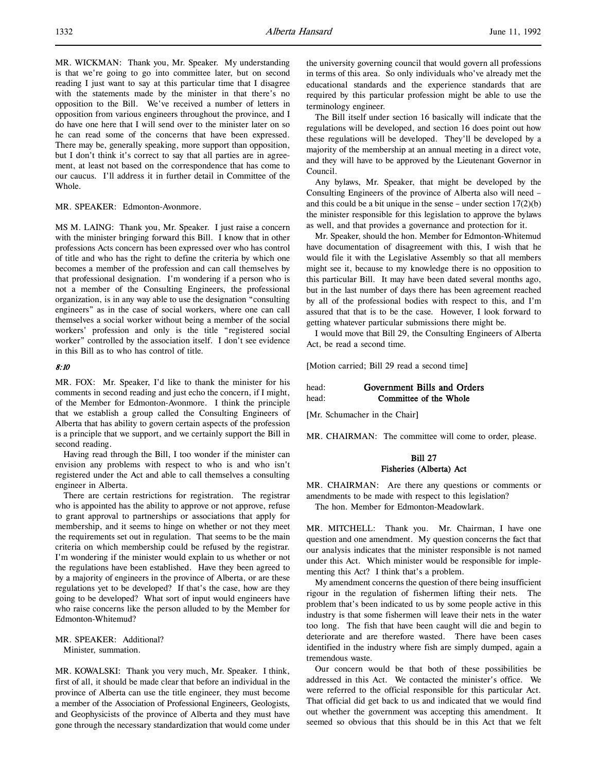MR. WICKMAN: Thank you, Mr. Speaker. My understanding is that we're going to go into committee later, but on second reading I just want to say at this particular time that I disagree with the statements made by the minister in that there's no opposition to the Bill. We've received a number of letters in opposition from various engineers throughout the province, and I do have one here that I will send over to the minister later on so he can read some of the concerns that have been expressed. There may be, generally speaking, more support than opposition, but I don't think it's correct to say that all parties are in agreement, at least not based on the correspondence that has come to our caucus. I'll address it in further detail in Committee of the Whole.

### MR. SPEAKER: Edmonton-Avonmore.

MS M. LAING: Thank you, Mr. Speaker. I just raise a concern with the minister bringing forward this Bill. I know that in other professions Acts concern has been expressed over who has control of title and who has the right to define the criteria by which one becomes a member of the profession and can call themselves by that professional designation. I'm wondering if a person who is not a member of the Consulting Engineers, the professional organization, is in any way able to use the designation "consulting engineers" as in the case of social workers, where one can call themselves a social worker without being a member of the social workers' profession and only is the title "registered social worker" controlled by the association itself. I don't see evidence in this Bill as to who has control of title.

#### 8:10

MR. FOX: Mr. Speaker, I'd like to thank the minister for his comments in second reading and just echo the concern, if I might, of the Member for Edmonton-Avonmore. I think the principle that we establish a group called the Consulting Engineers of Alberta that has ability to govern certain aspects of the profession is a principle that we support, and we certainly support the Bill in second reading.

Having read through the Bill, I too wonder if the minister can envision any problems with respect to who is and who isn't registered under the Act and able to call themselves a consulting engineer in Alberta.

There are certain restrictions for registration. The registrar who is appointed has the ability to approve or not approve, refuse to grant approval to partnerships or associations that apply for membership, and it seems to hinge on whether or not they meet the requirements set out in regulation. That seems to be the main criteria on which membership could be refused by the registrar. I'm wondering if the minister would explain to us whether or not the regulations have been established. Have they been agreed to by a majority of engineers in the province of Alberta, or are these regulations yet to be developed? If that's the case, how are they going to be developed? What sort of input would engineers have who raise concerns like the person alluded to by the Member for Edmonton-Whitemud?

MR. SPEAKER: Additional? Minister, summation.

MR. KOWALSKI: Thank you very much, Mr. Speaker. I think, first of all, it should be made clear that before an individual in the province of Alberta can use the title engineer, they must become a member of the Association of Professional Engineers, Geologists, and Geophysicists of the province of Alberta and they must have gone through the necessary standardization that would come under the university governing council that would govern all professions in terms of this area. So only individuals who've already met the educational standards and the experience standards that are required by this particular profession might be able to use the terminology engineer.

The Bill itself under section 16 basically will indicate that the regulations will be developed, and section 16 does point out how these regulations will be developed. They'll be developed by a majority of the membership at an annual meeting in a direct vote, and they will have to be approved by the Lieutenant Governor in Council.

Any bylaws, Mr. Speaker, that might be developed by the Consulting Engineers of the province of Alberta also will need – and this could be a bit unique in the sense – under section  $17(2)(b)$ the minister responsible for this legislation to approve the bylaws as well, and that provides a governance and protection for it.

Mr. Speaker, should the hon. Member for Edmonton-Whitemud have documentation of disagreement with this, I wish that he would file it with the Legislative Assembly so that all members might see it, because to my knowledge there is no opposition to this particular Bill. It may have been dated several months ago, but in the last number of days there has been agreement reached by all of the professional bodies with respect to this, and I'm assured that that is to be the case. However, I look forward to getting whatever particular submissions there might be.

I would move that Bill 29, the Consulting Engineers of Alberta Act, be read a second time.

[Motion carried; Bill 29 read a second time]

| head: | Government Bills and Orders |
|-------|-----------------------------|
| head: | Committee of the Whole      |

[Mr. Schumacher in the Chair]

MR. CHAIRMAN: The committee will come to order, please.

### Bill 27 Fisheries (Alberta) Act

MR. CHAIRMAN: Are there any questions or comments or amendments to be made with respect to this legislation?

The hon. Member for Edmonton-Meadowlark.

MR. MITCHELL: Thank you. Mr. Chairman, I have one question and one amendment. My question concerns the fact that our analysis indicates that the minister responsible is not named under this Act. Which minister would be responsible for implementing this Act? I think that's a problem.

My amendment concerns the question of there being insufficient rigour in the regulation of fishermen lifting their nets. The problem that's been indicated to us by some people active in this industry is that some fishermen will leave their nets in the water too long. The fish that have been caught will die and begin to deteriorate and are therefore wasted. There have been cases identified in the industry where fish are simply dumped, again a tremendous waste.

Our concern would be that both of these possibilities be addressed in this Act. We contacted the minister's office. We were referred to the official responsible for this particular Act. That official did get back to us and indicated that we would find out whether the government was accepting this amendment. It seemed so obvious that this should be in this Act that we felt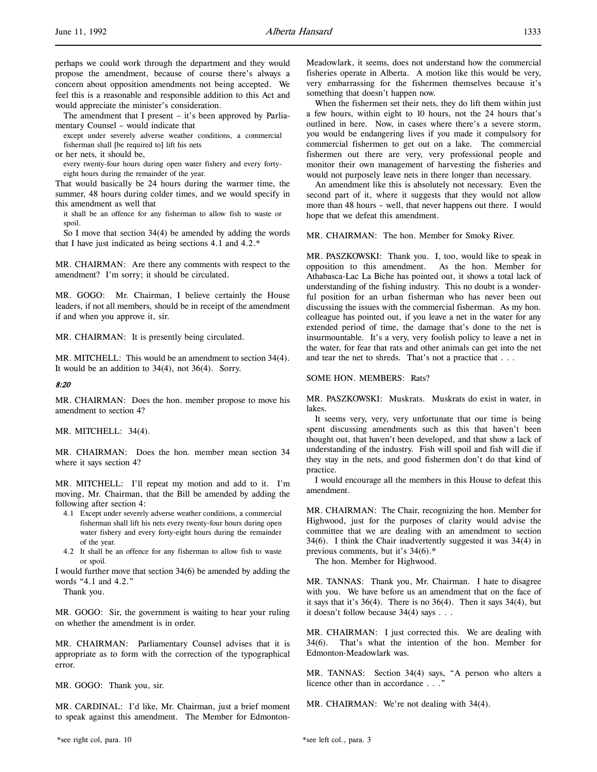l,

The amendment that I present – it's been approved by Parliamentary Counsel – would indicate that

except under severely adverse weather conditions, a commercial fisherman shall [be required to] lift his nets

or her nets, it should be,

every twenty-four hours during open water fishery and every fortyeight hours during the remainder of the year.

That would basically be 24 hours during the warmer time, the summer, 48 hours during colder times, and we would specify in this amendment as well that

it shall be an offence for any fisherman to allow fish to waste or spoil.

So I move that section 34(4) be amended by adding the words that I have just indicated as being sections 4.1 and 4.2.\*

MR. CHAIRMAN: Are there any comments with respect to the amendment? I'm sorry; it should be circulated.

MR. GOGO: Mr. Chairman, I believe certainly the House leaders, if not all members, should be in receipt of the amendment if and when you approve it, sir.

MR. CHAIRMAN: It is presently being circulated.

MR. MITCHELL: This would be an amendment to section 34(4). It would be an addition to 34(4), not 36(4). Sorry.

### 8:20

MR. CHAIRMAN: Does the hon. member propose to move his amendment to section 4?

MR. MITCHELL: 34(4).

MR. CHAIRMAN: Does the hon. member mean section 34 where it says section 4?

MR. MITCHELL: I'll repeat my motion and add to it. I'm moving, Mr. Chairman, that the Bill be amended by adding the following after section 4:

- 4.1 Except under severely adverse weather conditions, a commercial fisherman shall lift his nets every twenty-four hours during open water fishery and every forty-eight hours during the remainder of the year.
- 4.2 It shall be an offence for any fisherman to allow fish to waste or spoil.

I would further move that section 34(6) be amended by adding the words "4.1 and 4.2."

Thank you.

MR. GOGO: Sir, the government is waiting to hear your ruling on whether the amendment is in order.

MR. CHAIRMAN: Parliamentary Counsel advises that it is appropriate as to form with the correction of the typographical error.

MR. GOGO: Thank you, sir.

MR. CARDINAL: I'd like, Mr. Chairman, just a brief moment to speak against this amendment. The Member for EdmontonMeadowlark, it seems, does not understand how the commercial fisheries operate in Alberta. A motion like this would be very, very embarrassing for the fishermen themselves because it's something that doesn't happen now.

When the fishermen set their nets, they do lift them within just a few hours, within eight to 10 hours, not the 24 hours that's outlined in here. Now, in cases where there's a severe storm, you would be endangering lives if you made it compulsory for commercial fishermen to get out on a lake. The commercial fishermen out there are very, very professional people and monitor their own management of harvesting the fisheries and would not purposely leave nets in there longer than necessary.

An amendment like this is absolutely not necessary. Even the second part of it, where it suggests that they would not allow more than 48 hours – well, that never happens out there. I would hope that we defeat this amendment.

MR. CHAIRMAN: The hon. Member for Smoky River.

MR. PASZKOWSKI: Thank you. I, too, would like to speak in opposition to this amendment. As the hon. Member for Athabasca-Lac La Biche has pointed out, it shows a total lack of understanding of the fishing industry. This no doubt is a wonderful position for an urban fisherman who has never been out discussing the issues with the commercial fisherman. As my hon. colleague has pointed out, if you leave a net in the water for any extended period of time, the damage that's done to the net is insurmountable. It's a very, very foolish policy to leave a net in the water, for fear that rats and other animals can get into the net and tear the net to shreds. That's not a practice that . . .

### SOME HON. MEMBERS: Rats?

MR. PASZKOWSKI: Muskrats. Muskrats do exist in water, in lakes.

It seems very, very, very unfortunate that our time is being spent discussing amendments such as this that haven't been thought out, that haven't been developed, and that show a lack of understanding of the industry. Fish will spoil and fish will die if they stay in the nets, and good fishermen don't do that kind of practice.

I would encourage all the members in this House to defeat this amendment.

MR. CHAIRMAN: The Chair, recognizing the hon. Member for Highwood, just for the purposes of clarity would advise the committee that we are dealing with an amendment to section 34(6). I think the Chair inadvertently suggested it was 34(4) in previous comments, but it's 34(6).\*

The hon. Member for Highwood.

MR. TANNAS: Thank you, Mr. Chairman. I hate to disagree with you. We have before us an amendment that on the face of it says that it's 36(4). There is no 36(4). Then it says 34(4), but it doesn't follow because 34(4) says . . .

MR. CHAIRMAN: I just corrected this. We are dealing with 34(6). That's what the intention of the hon. Member for Edmonton-Meadowlark was.

MR. TANNAS: Section 34(4) says, "A person who alters a licence other than in accordance . . ."

MR. CHAIRMAN: We're not dealing with 34(4).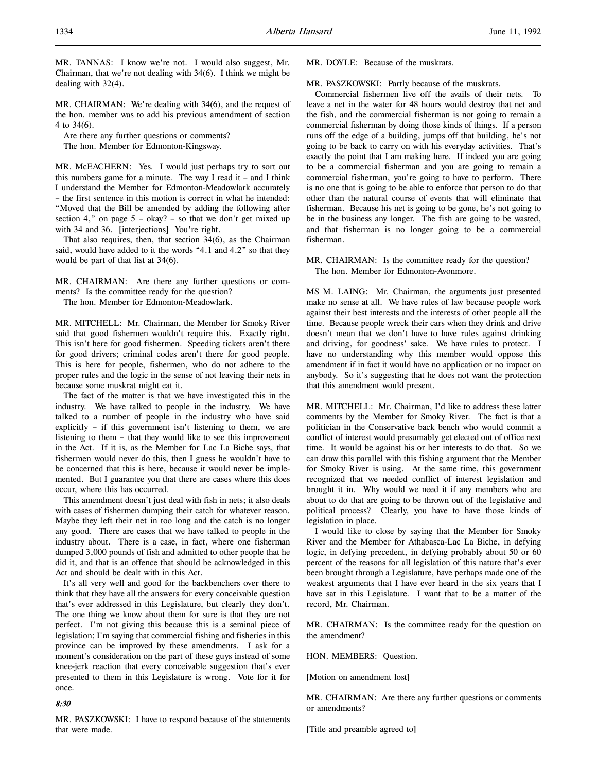MR. TANNAS: I know we're not. I would also suggest, Mr. Chairman, that we're not dealing with 34(6). I think we might be dealing with 32(4).

MR. CHAIRMAN: We're dealing with 34(6), and the request of the hon. member was to add his previous amendment of section 4 to 34(6).

Are there any further questions or comments?

The hon. Member for Edmonton-Kingsway.

MR. McEACHERN: Yes. I would just perhaps try to sort out this numbers game for a minute. The way I read it – and I think I understand the Member for Edmonton-Meadowlark accurately – the first sentence in this motion is correct in what he intended: "Moved that the Bill be amended by adding the following after section 4," on page  $5 - okay$ ? – so that we don't get mixed up with 34 and 36. [interjections] You're right.

That also requires, then, that section 34(6), as the Chairman said, would have added to it the words "4.1 and 4.2" so that they would be part of that list at 34(6).

MR. CHAIRMAN: Are there any further questions or comments? Is the committee ready for the question?

The hon. Member for Edmonton-Meadowlark.

MR. MITCHELL: Mr. Chairman, the Member for Smoky River said that good fishermen wouldn't require this. Exactly right. This isn't here for good fishermen. Speeding tickets aren't there for good drivers; criminal codes aren't there for good people. This is here for people, fishermen, who do not adhere to the proper rules and the logic in the sense of not leaving their nets in because some muskrat might eat it.

The fact of the matter is that we have investigated this in the industry. We have talked to people in the industry. We have talked to a number of people in the industry who have said explicitly – if this government isn't listening to them, we are listening to them – that they would like to see this improvement in the Act. If it is, as the Member for Lac La Biche says, that fishermen would never do this, then I guess he wouldn't have to be concerned that this is here, because it would never be implemented. But I guarantee you that there are cases where this does occur, where this has occurred.

This amendment doesn't just deal with fish in nets; it also deals with cases of fishermen dumping their catch for whatever reason. Maybe they left their net in too long and the catch is no longer any good. There are cases that we have talked to people in the industry about. There is a case, in fact, where one fisherman dumped 3,000 pounds of fish and admitted to other people that he did it, and that is an offence that should be acknowledged in this Act and should be dealt with in this Act.

It's all very well and good for the backbenchers over there to think that they have all the answers for every conceivable question that's ever addressed in this Legislature, but clearly they don't. The one thing we know about them for sure is that they are not perfect. I'm not giving this because this is a seminal piece of legislation; I'm saying that commercial fishing and fisheries in this province can be improved by these amendments. I ask for a moment's consideration on the part of these guys instead of some knee-jerk reaction that every conceivable suggestion that's ever presented to them in this Legislature is wrong. Vote for it for once.

### 8:30

MR. PASZKOWSKI: I have to respond because of the statements that were made.

MR. DOYLE: Because of the muskrats.

MR. PASZKOWSKI: Partly because of the muskrats.

Commercial fishermen live off the avails of their nets. To leave a net in the water for 48 hours would destroy that net and the fish, and the commercial fisherman is not going to remain a commercial fisherman by doing those kinds of things. If a person runs off the edge of a building, jumps off that building, he's not going to be back to carry on with his everyday activities. That's exactly the point that I am making here. If indeed you are going to be a commercial fisherman and you are going to remain a commercial fisherman, you're going to have to perform. There is no one that is going to be able to enforce that person to do that other than the natural course of events that will eliminate that fisherman. Because his net is going to be gone, he's not going to be in the business any longer. The fish are going to be wasted, and that fisherman is no longer going to be a commercial fisherman.

MR. CHAIRMAN: Is the committee ready for the question? The hon. Member for Edmonton-Avonmore.

MS M. LAING: Mr. Chairman, the arguments just presented make no sense at all. We have rules of law because people work against their best interests and the interests of other people all the time. Because people wreck their cars when they drink and drive doesn't mean that we don't have to have rules against drinking and driving, for goodness' sake. We have rules to protect. I have no understanding why this member would oppose this amendment if in fact it would have no application or no impact on anybody. So it's suggesting that he does not want the protection that this amendment would present.

MR. MITCHELL: Mr. Chairman, I'd like to address these latter comments by the Member for Smoky River. The fact is that a politician in the Conservative back bench who would commit a conflict of interest would presumably get elected out of office next time. It would be against his or her interests to do that. So we can draw this parallel with this fishing argument that the Member for Smoky River is using. At the same time, this government recognized that we needed conflict of interest legislation and brought it in. Why would we need it if any members who are about to do that are going to be thrown out of the legislative and political process? Clearly, you have to have those kinds of legislation in place.

I would like to close by saying that the Member for Smoky River and the Member for Athabasca-Lac La Biche, in defying logic, in defying precedent, in defying probably about 50 or 60 percent of the reasons for all legislation of this nature that's ever been brought through a Legislature, have perhaps made one of the weakest arguments that I have ever heard in the six years that I have sat in this Legislature. I want that to be a matter of the record, Mr. Chairman.

MR. CHAIRMAN: Is the committee ready for the question on the amendment?

HON. MEMBERS: Question.

[Motion on amendment lost]

MR. CHAIRMAN: Are there any further questions or comments or amendments?

[Title and preamble agreed to]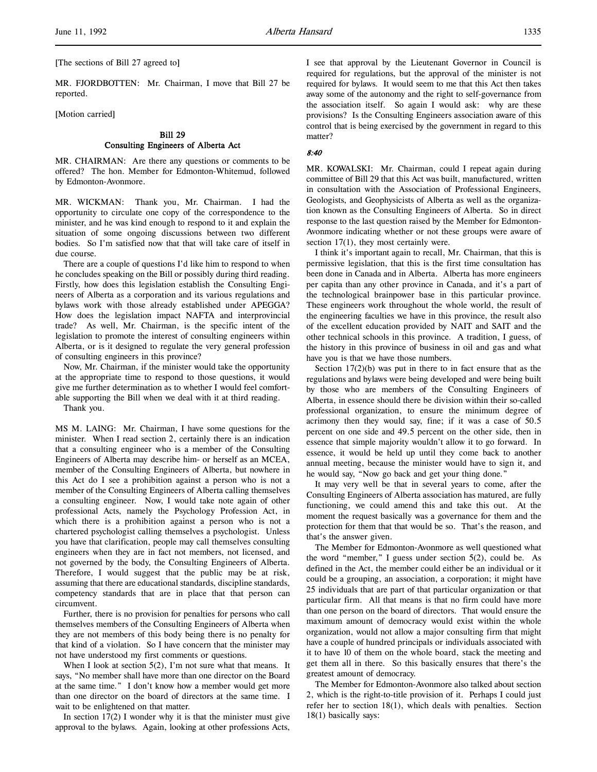[The sections of Bill 27 agreed to]

MR. FJORDBOTTEN: Mr. Chairman, I move that Bill 27 be reported.

#### [Motion carried]

## Bill 29 Consulting Engineers of Alberta Act

MR. CHAIRMAN: Are there any questions or comments to be offered? The hon. Member for Edmonton-Whitemud, followed by Edmonton-Avonmore.

MR. WICKMAN: Thank you, Mr. Chairman. I had the opportunity to circulate one copy of the correspondence to the minister, and he was kind enough to respond to it and explain the situation of some ongoing discussions between two different bodies. So I'm satisfied now that that will take care of itself in due course.

There are a couple of questions I'd like him to respond to when he concludes speaking on the Bill or possibly during third reading. Firstly, how does this legislation establish the Consulting Engineers of Alberta as a corporation and its various regulations and bylaws work with those already established under APEGGA? How does the legislation impact NAFTA and interprovincial trade? As well, Mr. Chairman, is the specific intent of the legislation to promote the interest of consulting engineers within Alberta, or is it designed to regulate the very general profession of consulting engineers in this province?

Now, Mr. Chairman, if the minister would take the opportunity at the appropriate time to respond to those questions, it would give me further determination as to whether I would feel comfortable supporting the Bill when we deal with it at third reading.

Thank you.

MS M. LAING: Mr. Chairman, I have some questions for the minister. When I read section 2, certainly there is an indication that a consulting engineer who is a member of the Consulting Engineers of Alberta may describe him- or herself as an MCEA, member of the Consulting Engineers of Alberta, but nowhere in this Act do I see a prohibition against a person who is not a member of the Consulting Engineers of Alberta calling themselves a consulting engineer. Now, I would take note again of other professional Acts, namely the Psychology Profession Act, in which there is a prohibition against a person who is not a chartered psychologist calling themselves a psychologist. Unless you have that clarification, people may call themselves consulting engineers when they are in fact not members, not licensed, and not governed by the body, the Consulting Engineers of Alberta. Therefore, I would suggest that the public may be at risk, assuming that there are educational standards, discipline standards, competency standards that are in place that that person can circumvent.

Further, there is no provision for penalties for persons who call themselves members of the Consulting Engineers of Alberta when they are not members of this body being there is no penalty for that kind of a violation. So I have concern that the minister may not have understood my first comments or questions.

When I look at section  $5(2)$ , I'm not sure what that means. It says, "No member shall have more than one director on the Board at the same time." I don't know how a member would get more than one director on the board of directors at the same time. I wait to be enlightened on that matter.

In section  $17(2)$  I wonder why it is that the minister must give approval to the bylaws. Again, looking at other professions Acts,

I see that approval by the Lieutenant Governor in Council is required for regulations, but the approval of the minister is not required for bylaws. It would seem to me that this Act then takes away some of the autonomy and the right to self-governance from the association itself. So again I would ask: why are these provisions? Is the Consulting Engineers association aware of this control that is being exercised by the government in regard to this matter?

#### 8:40

MR. KOWALSKI: Mr. Chairman, could I repeat again during committee of Bill 29 that this Act was built, manufactured, written in consultation with the Association of Professional Engineers, Geologists, and Geophysicists of Alberta as well as the organization known as the Consulting Engineers of Alberta. So in direct response to the last question raised by the Member for Edmonton-Avonmore indicating whether or not these groups were aware of section 17(1), they most certainly were.

I think it's important again to recall, Mr. Chairman, that this is permissive legislation, that this is the first time consultation has been done in Canada and in Alberta. Alberta has more engineers per capita than any other province in Canada, and it's a part of the technological brainpower base in this particular province. These engineers work throughout the whole world, the result of the engineering faculties we have in this province, the result also of the excellent education provided by NAIT and SAIT and the other technical schools in this province. A tradition, I guess, of the history in this province of business in oil and gas and what have you is that we have those numbers.

Section 17(2)(b) was put in there to in fact ensure that as the regulations and bylaws were being developed and were being built by those who are members of the Consulting Engineers of Alberta, in essence should there be division within their so-called professional organization, to ensure the minimum degree of acrimony then they would say, fine; if it was a case of 50.5 percent on one side and 49.5 percent on the other side, then in essence that simple majority wouldn't allow it to go forward. In essence, it would be held up until they come back to another annual meeting, because the minister would have to sign it, and he would say, "Now go back and get your thing done."

It may very well be that in several years to come, after the Consulting Engineers of Alberta association has matured, are fully functioning, we could amend this and take this out. At the moment the request basically was a governance for them and the protection for them that that would be so. That's the reason, and that's the answer given.

The Member for Edmonton-Avonmore as well questioned what the word "member," I guess under section 5(2), could be. As defined in the Act, the member could either be an individual or it could be a grouping, an association, a corporation; it might have 25 individuals that are part of that particular organization or that particular firm. All that means is that no firm could have more than one person on the board of directors. That would ensure the maximum amount of democracy would exist within the whole organization, would not allow a major consulting firm that might have a couple of hundred principals or individuals associated with it to have 10 of them on the whole board, stack the meeting and get them all in there. So this basically ensures that there's the greatest amount of democracy.

The Member for Edmonton-Avonmore also talked about section 2, which is the right-to-title provision of it. Perhaps I could just refer her to section 18(1), which deals with penalties. Section 18(1) basically says: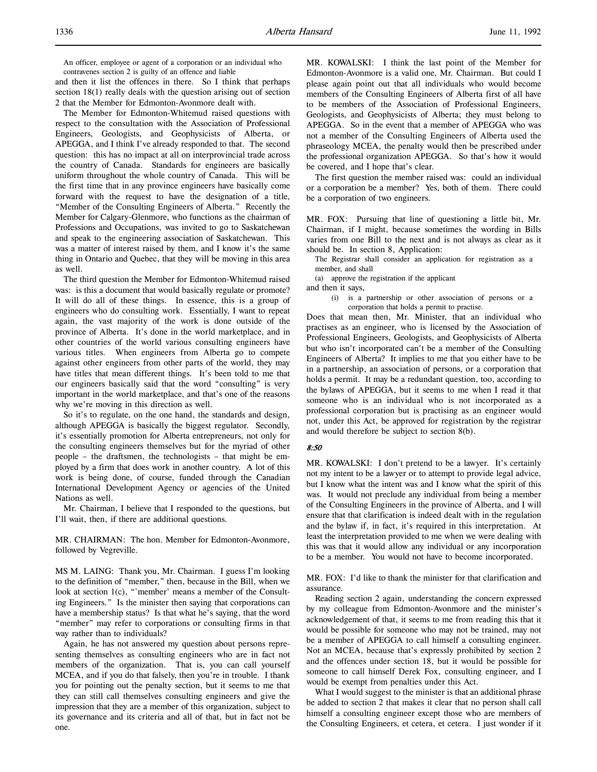An officer, employee or agent of a corporation or an individual who contravenes section 2 is guilty of an offence and liable

and then it list the offences in there. So I think that perhaps section 18(1) really deals with the question arising out of section 2 that the Member for Edmonton-Avonmore dealt with.

The Member for Edmonton-Whitemud raised questions with respect to the consultation with the Association of Professional Engineers, Geologists, and Geophysicists of Alberta, or APEGGA, and I think I've already responded to that. The second question: this has no impact at all on interprovincial trade across the country of Canada. Standards for engineers are basically uniform throughout the whole country of Canada. This will be the first time that in any province engineers have basically come forward with the request to have the designation of a title, "Member of the Consulting Engineers of Alberta." Recently the Member for Calgary-Glenmore, who functions as the chairman of Professions and Occupations, was invited to go to Saskatchewan and speak to the engineering association of Saskatchewan. This was a matter of interest raised by them, and I know it's the same thing in Ontario and Quebec, that they will be moving in this area as well.

The third question the Member for Edmonton-Whitemud raised was: is this a document that would basically regulate or promote? It will do all of these things. In essence, this is a group of engineers who do consulting work. Essentially, I want to repeat again, the vast majority of the work is done outside of the province of Alberta. It's done in the world marketplace, and in other countries of the world various consulting engineers have various titles. When engineers from Alberta go to compete against other engineers from other parts of the world, they may have titles that mean different things. It's been told to me that our engineers basically said that the word "consulting" is very important in the world marketplace, and that's one of the reasons why we're moving in this direction as well.

So it's to regulate, on the one hand, the standards and design, although APEGGA is basically the biggest regulator. Secondly, it's essentially promotion for Alberta entrepreneurs, not only for the consulting engineers themselves but for the myriad of other people – the draftsmen, the technologists – that might be employed by a firm that does work in another country. A lot of this work is being done, of course, funded through the Canadian International Development Agency or agencies of the United Nations as well.

Mr. Chairman, I believe that I responded to the questions, but I'll wait, then, if there are additional questions.

MR. CHAIRMAN: The hon. Member for Edmonton-Avonmore, followed by Vegreville.

MS M. LAING: Thank you, Mr. Chairman. I guess I'm looking to the definition of "member," then, because in the Bill, when we look at section 1(c), "`member' means a member of the Consulting Engineers." Is the minister then saying that corporations can have a membership status? Is that what he's saying, that the word "member" may refer to corporations or consulting firms in that way rather than to individuals?

Again, he has not answered my question about persons representing themselves as consulting engineers who are in fact not members of the organization. That is, you can call yourself MCEA, and if you do that falsely, then you're in trouble. I thank you for pointing out the penalty section, but it seems to me that they can still call themselves consulting engineers and give the impression that they are a member of this organization, subject to its governance and its criteria and all of that, but in fact not be one.

MR. KOWALSKI: I think the last point of the Member for Edmonton-Avonmore is a valid one, Mr. Chairman. But could I please again point out that all individuals who would become members of the Consulting Engineers of Alberta first of all have to be members of the Association of Professional Engineers, Geologists, and Geophysicists of Alberta; they must belong to APEGGA. So in the event that a member of APEGGA who was not a member of the Consulting Engineers of Alberta used the phraseology MCEA, the penalty would then be prescribed under the professional organization APEGGA. So that's how it would be covered, and I hope that's clear.

The first question the member raised was: could an individual or a corporation be a member? Yes, both of them. There could be a corporation of two engineers.

MR. FOX: Pursuing that line of questioning a little bit, Mr. Chairman, if I might, because sometimes the wording in Bills varies from one Bill to the next and is not always as clear as it should be. In section 8, Application:

The Registrar shall consider an application for registration as a member, and shall

(a) approve the registration if the applicant

and then it says,

(i) is a partnership or other association of persons or a corporation that holds a permit to practise.

Does that mean then, Mr. Minister, that an individual who practises as an engineer, who is licensed by the Association of Professional Engineers, Geologists, and Geophysicists of Alberta but who isn't incorporated can't be a member of the Consulting Engineers of Alberta? It implies to me that you either have to be in a partnership, an association of persons, or a corporation that holds a permit. It may be a redundant question, too, according to the bylaws of APEGGA, but it seems to me when I read it that someone who is an individual who is not incorporated as a professional corporation but is practising as an engineer would not, under this Act, be approved for registration by the registrar and would therefore be subject to section 8(b).

#### 8:50

MR. KOWALSKI: I don't pretend to be a lawyer. It's certainly not my intent to be a lawyer or to attempt to provide legal advice, but I know what the intent was and I know what the spirit of this was. It would not preclude any individual from being a member of the Consulting Engineers in the province of Alberta, and I will ensure that that clarification is indeed dealt with in the regulation and the bylaw if, in fact, it's required in this interpretation. At least the interpretation provided to me when we were dealing with this was that it would allow any individual or any incorporation to be a member. You would not have to become incorporated.

MR. FOX: I'd like to thank the minister for that clarification and assurance.

Reading section 2 again, understanding the concern expressed by my colleague from Edmonton-Avonmore and the minister's acknowledgement of that, it seems to me from reading this that it would be possible for someone who may not be trained, may not be a member of APEGGA to call himself a consulting engineer. Not an MCEA, because that's expressly prohibited by section 2 and the offences under section 18, but it would be possible for someone to call himself Derek Fox, consulting engineer, and I would be exempt from penalties under this Act.

What I would suggest to the minister is that an additional phrase be added to section 2 that makes it clear that no person shall call himself a consulting engineer except those who are members of the Consulting Engineers, et cetera, et cetera. I just wonder if it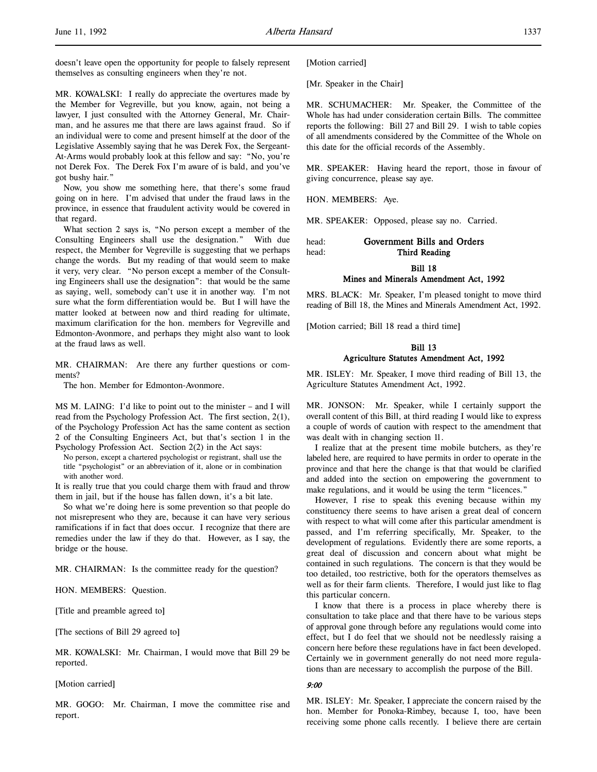doesn't leave open the opportunity for people to falsely represent themselves as consulting engineers when they're not.

MR. KOWALSKI: I really do appreciate the overtures made by the Member for Vegreville, but you know, again, not being a lawyer, I just consulted with the Attorney General, Mr. Chairman, and he assures me that there are laws against fraud. So if an individual were to come and present himself at the door of the Legislative Assembly saying that he was Derek Fox, the Sergeant-At-Arms would probably look at this fellow and say: "No, you're not Derek Fox. The Derek Fox I'm aware of is bald, and you've got bushy hair."

Now, you show me something here, that there's some fraud going on in here. I'm advised that under the fraud laws in the province, in essence that fraudulent activity would be covered in that regard.

What section 2 says is, "No person except a member of the Consulting Engineers shall use the designation." With due respect, the Member for Vegreville is suggesting that we perhaps change the words. But my reading of that would seem to make it very, very clear. "No person except a member of the Consulting Engineers shall use the designation": that would be the same as saying, well, somebody can't use it in another way. I'm not sure what the form differentiation would be. But I will have the matter looked at between now and third reading for ultimate, maximum clarification for the hon. members for Vegreville and Edmonton-Avonmore, and perhaps they might also want to look at the fraud laws as well.

MR. CHAIRMAN: Are there any further questions or comments?

The hon. Member for Edmonton-Avonmore.

MS M. LAING: I'd like to point out to the minister – and I will read from the Psychology Profession Act. The first section, 2(1), of the Psychology Profession Act has the same content as section 2 of the Consulting Engineers Act, but that's section 1 in the Psychology Profession Act. Section 2(2) in the Act says:

No person, except a chartered psychologist or registrant, shall use the title "psychologist" or an abbreviation of it, alone or in combination with another word.

It is really true that you could charge them with fraud and throw them in jail, but if the house has fallen down, it's a bit late.

So what we're doing here is some prevention so that people do not misrepresent who they are, because it can have very serious ramifications if in fact that does occur. I recognize that there are remedies under the law if they do that. However, as I say, the bridge or the house.

MR. CHAIRMAN: Is the committee ready for the question?

HON. MEMBERS: Question.

[Title and preamble agreed to]

[The sections of Bill 29 agreed to]

MR. KOWALSKI: Mr. Chairman, I would move that Bill 29 be reported.

#### [Motion carried]

MR. GOGO: Mr. Chairman, I move the committee rise and report.

[Motion carried]

[Mr. Speaker in the Chair]

MR. SCHUMACHER: Mr. Speaker, the Committee of the Whole has had under consideration certain Bills. The committee reports the following: Bill 27 and Bill 29. I wish to table copies of all amendments considered by the Committee of the Whole on this date for the official records of the Assembly.

MR. SPEAKER: Having heard the report, those in favour of giving concurrence, please say aye.

HON. MEMBERS: Aye.

MR. SPEAKER: Opposed, please say no. Carried.

| head: | Government Bills and Orders |
|-------|-----------------------------|
| head: | Third Reading               |

Bill 18

## Mines and Minerals Amendment Act, 1992

MRS. BLACK: Mr. Speaker, I'm pleased tonight to move third reading of Bill 18, the Mines and Minerals Amendment Act, 1992.

[Motion carried; Bill 18 read a third time]

### Bill 13

### Agriculture Statutes Amendment Act, 1992

MR. ISLEY: Mr. Speaker, I move third reading of Bill 13, the Agriculture Statutes Amendment Act, 1992.

MR. JONSON: Mr. Speaker, while I certainly support the overall content of this Bill, at third reading I would like to express a couple of words of caution with respect to the amendment that was dealt with in changing section 11.

I realize that at the present time mobile butchers, as they're labeled here, are required to have permits in order to operate in the province and that here the change is that that would be clarified and added into the section on empowering the government to make regulations, and it would be using the term "licences."

However, I rise to speak this evening because within my constituency there seems to have arisen a great deal of concern with respect to what will come after this particular amendment is passed, and I'm referring specifically, Mr. Speaker, to the development of regulations. Evidently there are some reports, a great deal of discussion and concern about what might be contained in such regulations. The concern is that they would be too detailed, too restrictive, both for the operators themselves as well as for their farm clients. Therefore, I would just like to flag this particular concern.

I know that there is a process in place whereby there is consultation to take place and that there have to be various steps of approval gone through before any regulations would come into effect, but I do feel that we should not be needlessly raising a concern here before these regulations have in fact been developed. Certainly we in government generally do not need more regulations than are necessary to accomplish the purpose of the Bill.

## 9:00

MR. ISLEY: Mr. Speaker, I appreciate the concern raised by the hon. Member for Ponoka-Rimbey, because I, too, have been receiving some phone calls recently. I believe there are certain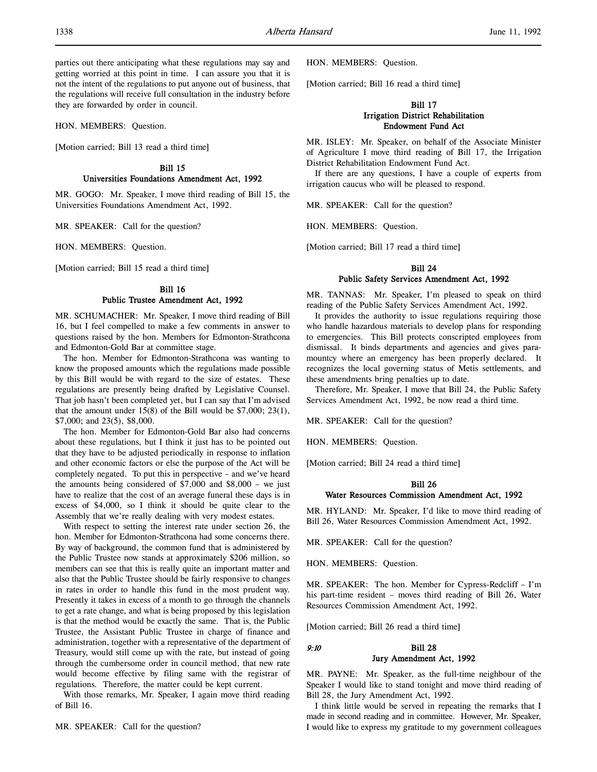parties out there anticipating what these regulations may say and getting worried at this point in time. I can assure you that it is not the intent of the regulations to put anyone out of business, that the regulations will receive full consultation in the industry before they are forwarded by order in council.

HON. MEMBERS: Question.

[Motion carried; Bill 13 read a third time]

Bill 15 Universities Foundations Amendment Act, 1992

MR. GOGO: Mr. Speaker, I move third reading of Bill 15, the Universities Foundations Amendment Act, 1992.

MR. SPEAKER: Call for the question?

HON. MEMBERS: Question.

[Motion carried; Bill 15 read a third time]

### Bill 16 Public Trustee Amendment Act, 1992

MR. SCHUMACHER: Mr. Speaker, I move third reading of Bill 16, but I feel compelled to make a few comments in answer to questions raised by the hon. Members for Edmonton-Strathcona and Edmonton-Gold Bar at committee stage.

The hon. Member for Edmonton-Strathcona was wanting to know the proposed amounts which the regulations made possible by this Bill would be with regard to the size of estates. These regulations are presently being drafted by Legislative Counsel. That job hasn't been completed yet, but I can say that I'm advised that the amount under  $15(8)$  of the Bill would be \$7,000; 23(1), \$7,000; and 23(5), \$8,000.

The hon. Member for Edmonton-Gold Bar also had concerns about these regulations, but I think it just has to be pointed out that they have to be adjusted periodically in response to inflation and other economic factors or else the purpose of the Act will be completely negated. To put this in perspective – and we've heard the amounts being considered of \$7,000 and \$8,000 – we just have to realize that the cost of an average funeral these days is in excess of \$4,000, so I think it should be quite clear to the Assembly that we're really dealing with very modest estates.

With respect to setting the interest rate under section 26, the hon. Member for Edmonton-Strathcona had some concerns there. By way of background, the common fund that is administered by the Public Trustee now stands at approximately \$206 million, so members can see that this is really quite an important matter and also that the Public Trustee should be fairly responsive to changes in rates in order to handle this fund in the most prudent way. Presently it takes in excess of a month to go through the channels to get a rate change, and what is being proposed by this legislation is that the method would be exactly the same. That is, the Public Trustee, the Assistant Public Trustee in charge of finance and administration, together with a representative of the department of Treasury, would still come up with the rate, but instead of going through the cumbersome order in council method, that new rate would become effective by filing same with the registrar of regulations. Therefore, the matter could be kept current.

With those remarks, Mr. Speaker, I again move third reading of Bill 16.

HON. MEMBERS: Question.

[Motion carried; Bill 16 read a third time]

## Bill 17 Irrigation District Rehabilitation Endowment Fund Act

MR. ISLEY: Mr. Speaker, on behalf of the Associate Minister of Agriculture I move third reading of Bill 17, the Irrigation District Rehabilitation Endowment Fund Act.

If there are any questions, I have a couple of experts from irrigation caucus who will be pleased to respond.

MR. SPEAKER: Call for the question?

HON. MEMBERS: Question.

[Motion carried; Bill 17 read a third time]

## Bill 24 Public Safety Services Amendment Act, 1992

MR. TANNAS: Mr. Speaker, I'm pleased to speak on third reading of the Public Safety Services Amendment Act, 1992.

It provides the authority to issue regulations requiring those who handle hazardous materials to develop plans for responding to emergencies. This Bill protects conscripted employees from dismissal. It binds departments and agencies and gives paramountcy where an emergency has been properly declared. It recognizes the local governing status of Metis settlements, and these amendments bring penalties up to date.

Therefore, Mr. Speaker, I move that Bill 24, the Public Safety Services Amendment Act, 1992, be now read a third time.

MR. SPEAKER: Call for the question?

HON. MEMBERS: Question.

[Motion carried; Bill 24 read a third time]

### Bill 26

### Water Resources Commission Amendment Act, 1992

MR. HYLAND: Mr. Speaker, I'd like to move third reading of Bill 26, Water Resources Commission Amendment Act, 1992.

MR. SPEAKER: Call for the question?

HON. MEMBERS: Question.

MR. SPEAKER: The hon. Member for Cypress-Redcliff – I'm his part-time resident – moves third reading of Bill 26, Water Resources Commission Amendment Act, 1992.

[Motion carried; Bill 26 read a third time]

## 9:10 Bill 28 Jury Amendment Act, 1992

MR. PAYNE: Mr. Speaker, as the full-time neighbour of the Speaker I would like to stand tonight and move third reading of Bill 28, the Jury Amendment Act, 1992.

I think little would be served in repeating the remarks that I made in second reading and in committee. However, Mr. Speaker, I would like to express my gratitude to my government colleagues